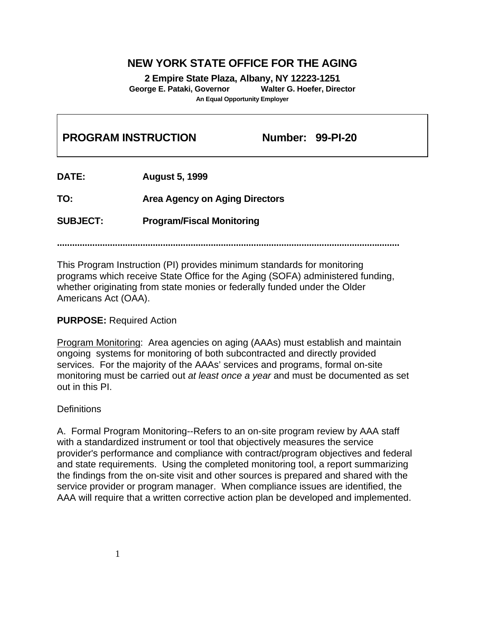# **NEW YORK STATE OFFICE FOR THE AGING**

**2 Empire State Plaza, Albany, NY 12223-1251 George E. Pataki, Governor Walter G. Hoefer, Director An Equal Opportunity Employer**

| <b>PROGRAM INSTRUCTION</b> |                                       | <b>Number: 99-PI-20</b> |  |
|----------------------------|---------------------------------------|-------------------------|--|
| <b>DATE:</b>               | <b>August 5, 1999</b>                 |                         |  |
| TO:                        | <b>Area Agency on Aging Directors</b> |                         |  |
| <b>SUBJECT:</b>            | <b>Program/Fiscal Monitoring</b>      |                         |  |
|                            |                                       |                         |  |

This Program Instruction (PI) provides minimum standards for monitoring programs which receive State Office for the Aging (SOFA) administered funding, whether originating from state monies or federally funded under the Older Americans Act (OAA).

#### **PURPOSE:** Required Action

Program Monitoring: Area agencies on aging (AAAs) must establish and maintain ongoing systems for monitoring of both subcontracted and directly provided services. For the majority of the AAAs' services and programs, formal on-site monitoring must be carried out *at least once a year* and must be documented as set out in this PI.

#### **Definitions**

A. Formal Program Monitoring--Refers to an on-site program review by AAA staff with a standardized instrument or tool that objectively measures the service provider's performance and compliance with contract/program objectives and federal and state requirements. Using the completed monitoring tool, a report summarizing the findings from the on-site visit and other sources is prepared and shared with the service provider or program manager. When compliance issues are identified, the AAA will require that a written corrective action plan be developed and implemented.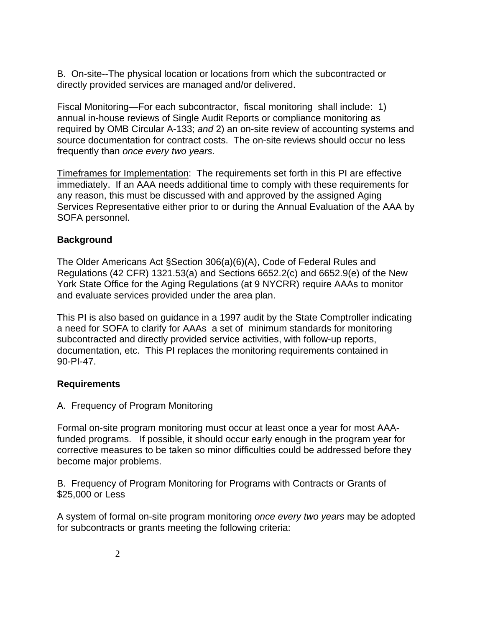B. On-site--The physical location or locations from which the subcontracted or directly provided services are managed and/or delivered.

Fiscal Monitoring—For each subcontractor, fiscal monitoring shall include: 1) annual in-house reviews of Single Audit Reports or compliance monitoring as required by OMB Circular A-133; *and* 2) an on-site review of accounting systems and source documentation for contract costs. The on-site reviews should occur no less frequently than *once every two years*.

Timeframes for Implementation: The requirements set forth in this PI are effective immediately. If an AAA needs additional time to comply with these requirements for any reason, this must be discussed with and approved by the assigned Aging Services Representative either prior to or during the Annual Evaluation of the AAA by SOFA personnel.

## **Background**

The Older Americans Act §Section 306(a)(6)(A), Code of Federal Rules and Regulations (42 CFR) 1321.53(a) and Sections 6652.2(c) and 6652.9(e) of the New York State Office for the Aging Regulations (at 9 NYCRR) require AAAs to monitor and evaluate services provided under the area plan.

This PI is also based on guidance in a 1997 audit by the State Comptroller indicating a need for SOFA to clarify for AAAs a set of minimum standards for monitoring subcontracted and directly provided service activities, with follow-up reports, documentation, etc. This PI replaces the monitoring requirements contained in 90-PI-47.

#### **Requirements**

A. Frequency of Program Monitoring

Formal on-site program monitoring must occur at least once a year for most AAAfunded programs. If possible, it should occur early enough in the program year for corrective measures to be taken so minor difficulties could be addressed before they become major problems.

B. Frequency of Program Monitoring for Programs with Contracts or Grants of \$25,000 or Less

A system of formal on-site program monitoring *once every two years* may be adopted for subcontracts or grants meeting the following criteria: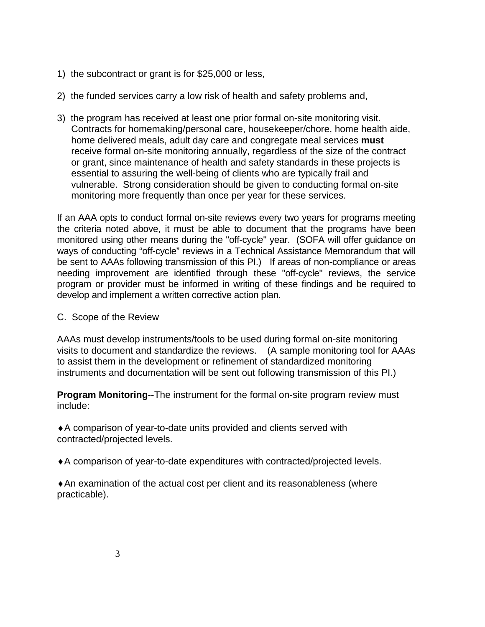- 1) the subcontract or grant is for \$25,000 or less,
- 2) the funded services carry a low risk of health and safety problems and,
- 3) the program has received at least one prior formal on-site monitoring visit. Contracts for homemaking/personal care, housekeeper/chore, home health aide, home delivered meals, adult day care and congregate meal services **must** receive formal on-site monitoring annually, regardless of the size of the contract or grant, since maintenance of health and safety standards in these projects is essential to assuring the well-being of clients who are typically frail and vulnerable. Strong consideration should be given to conducting formal on-site monitoring more frequently than once per year for these services.

If an AAA opts to conduct formal on-site reviews every two years for programs meeting the criteria noted above, it must be able to document that the programs have been monitored using other means during the "off-cycle" year. (SOFA will offer guidance on ways of conducting "off-cycle" reviews in a Technical Assistance Memorandum that will be sent to AAAs following transmission of this PI.) If areas of non-compliance or areas needing improvement are identified through these "off-cycle" reviews, the service program or provider must be informed in writing of these findings and be required to develop and implement a written corrective action plan.

C. Scope of the Review

AAAs must develop instruments/tools to be used during formal on-site monitoring visits to document and standardize the reviews. (A sample monitoring tool for AAAs to assist them in the development or refinement of standardized monitoring instruments and documentation will be sent out following transmission of this PI.)

**Program Monitoring**--The instrument for the formal on-site program review must include:

♦A comparison of year-to-date units provided and clients served with contracted/projected levels.

♦A comparison of year-to-date expenditures with contracted/projected levels.

♦An examination of the actual cost per client and its reasonableness (where practicable).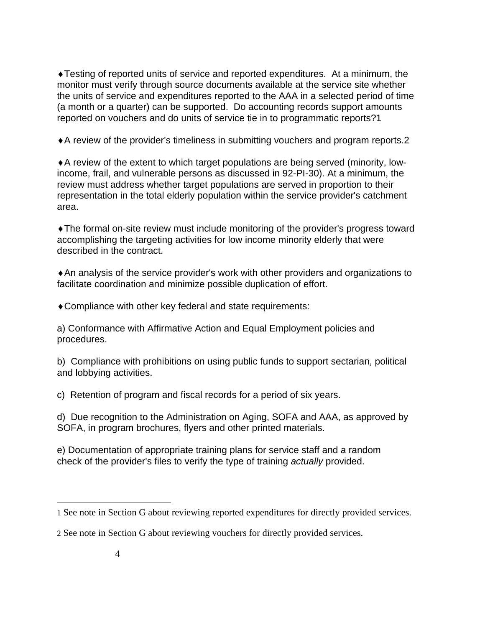♦Testing of reported units of service and reported expenditures. At a minimum, the monitor must verify through source documents available at the service site whether the units of service and expenditures reported to the AAA in a selected period of time (a month or a quarter) can be supported. Do accounting records support amounts reported on vouchers and do units of service tie in to programmatic reports[?1](#page-3-0)

♦A review of the provider's timeliness in submitting vouchers and program reports[.2](#page-3-1)

♦A review of the extent to which target populations are being served (minority, lowincome, frail, and vulnerable persons as discussed in 92-PI-30). At a minimum, the review must address whether target populations are served in proportion to their representation in the total elderly population within the service provider's catchment area.

♦The formal on-site review must include monitoring of the provider's progress toward accomplishing the targeting activities for low income minority elderly that were described in the contract.

♦An analysis of the service provider's work with other providers and organizations to facilitate coordination and minimize possible duplication of effort.

♦Compliance with other key federal and state requirements:

a) Conformance with Affirmative Action and Equal Employment policies and procedures.

b) Compliance with prohibitions on using public funds to support sectarian, political and lobbying activities.

c) Retention of program and fiscal records for a period of six years.

d) Due recognition to the Administration on Aging, SOFA and AAA, as approved by SOFA, in program brochures, flyers and other printed materials.

e) Documentation of appropriate training plans for service staff and a random check of the provider's files to verify the type of training *actually* provided.

 $\overline{a}$ 

<span id="page-3-0"></span><sup>1</sup> See note in Section G about reviewing reported expenditures for directly provided services.

<span id="page-3-1"></span><sup>2</sup> See note in Section G about reviewing vouchers for directly provided services.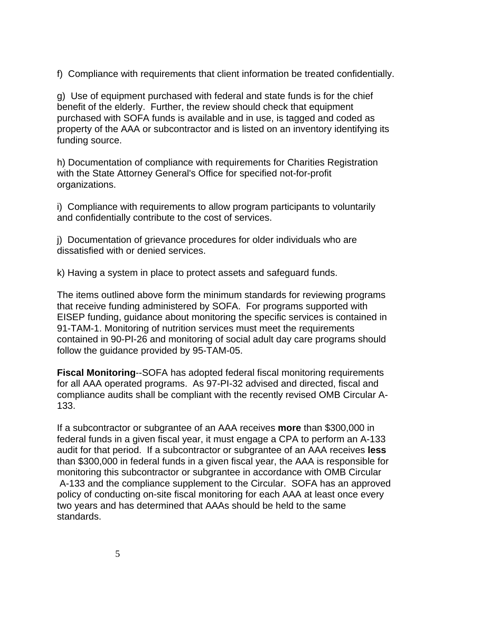f) Compliance with requirements that client information be treated confidentially.

g) Use of equipment purchased with federal and state funds is for the chief benefit of the elderly. Further, the review should check that equipment purchased with SOFA funds is available and in use, is tagged and coded as property of the AAA or subcontractor and is listed on an inventory identifying its funding source.

h) Documentation of compliance with requirements for Charities Registration with the State Attorney General's Office for specified not-for-profit organizations.

i) Compliance with requirements to allow program participants to voluntarily and confidentially contribute to the cost of services.

j) Documentation of grievance procedures for older individuals who are dissatisfied with or denied services.

k) Having a system in place to protect assets and safeguard funds.

The items outlined above form the minimum standards for reviewing programs that receive funding administered by SOFA. For programs supported with EISEP funding, guidance about monitoring the specific services is contained in 91-TAM-1. Monitoring of nutrition services must meet the requirements contained in 90-PI-26 and monitoring of social adult day care programs should follow the guidance provided by 95-TAM-05.

**Fiscal Monitoring**--SOFA has adopted federal fiscal monitoring requirements for all AAA operated programs. As 97-PI-32 advised and directed, fiscal and compliance audits shall be compliant with the recently revised OMB Circular A-133.

If a subcontractor or subgrantee of an AAA receives **more** than \$300,000 in federal funds in a given fiscal year, it must engage a CPA to perform an A-133 audit for that period. If a subcontractor or subgrantee of an AAA receives **less** than \$300,000 in federal funds in a given fiscal year, the AAA is responsible for monitoring this subcontractor or subgrantee in accordance with OMB Circular A-133 and the compliance supplement to the Circular. SOFA has an approved policy of conducting on-site fiscal monitoring for each AAA at least once every two years and has determined that AAAs should be held to the same standards.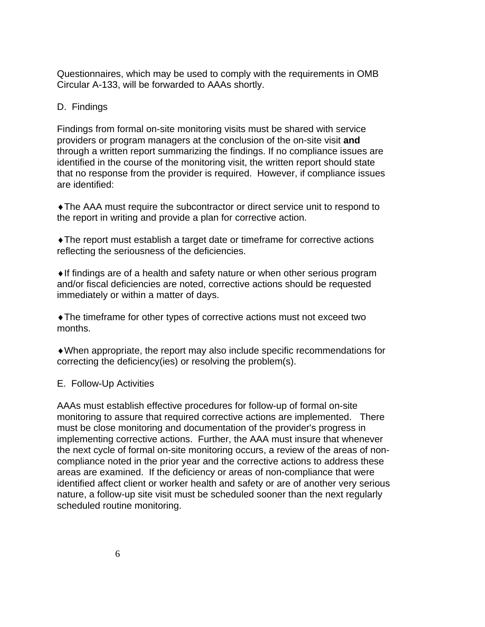Questionnaires, which may be used to comply with the requirements in OMB Circular A-133, will be forwarded to AAAs shortly.

### D. Findings

Findings from formal on-site monitoring visits must be shared with service providers or program managers at the conclusion of the on-site visit **and** through a written report summarizing the findings. If no compliance issues are identified in the course of the monitoring visit, the written report should state that no response from the provider is required. However, if compliance issues are identified:

♦The AAA must require the subcontractor or direct service unit to respond to the report in writing and provide a plan for corrective action.

♦The report must establish a target date or timeframe for corrective actions reflecting the seriousness of the deficiencies.

♦If findings are of a health and safety nature or when other serious program and/or fiscal deficiencies are noted, corrective actions should be requested immediately or within a matter of days.

♦The timeframe for other types of corrective actions must not exceed two months.

♦When appropriate, the report may also include specific recommendations for correcting the deficiency(ies) or resolving the problem(s).

#### E. Follow-Up Activities

AAAs must establish effective procedures for follow-up of formal on-site monitoring to assure that required corrective actions are implemented. There must be close monitoring and documentation of the provider's progress in implementing corrective actions. Further, the AAA must insure that whenever the next cycle of formal on-site monitoring occurs, a review of the areas of noncompliance noted in the prior year and the corrective actions to address these areas are examined. If the deficiency or areas of non-compliance that were identified affect client or worker health and safety or are of another very serious nature, a follow-up site visit must be scheduled sooner than the next regularly scheduled routine monitoring.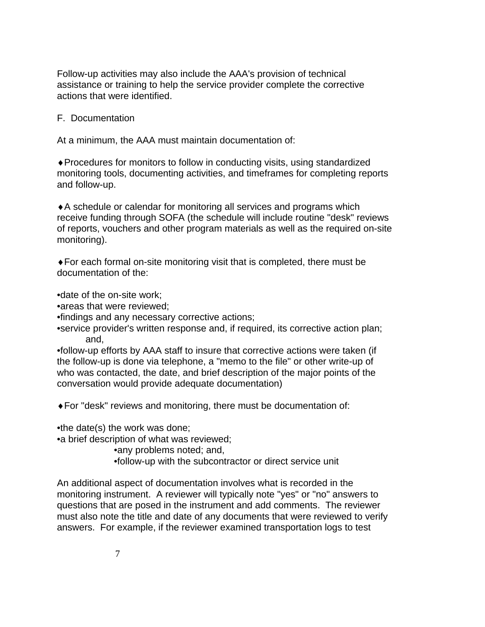Follow-up activities may also include the AAA's provision of technical assistance or training to help the service provider complete the corrective actions that were identified.

F. Documentation

At a minimum, the AAA must maintain documentation of:

♦Procedures for monitors to follow in conducting visits, using standardized monitoring tools, documenting activities, and timeframes for completing reports and follow-up.

♦A schedule or calendar for monitoring all services and programs which receive funding through SOFA (the schedule will include routine "desk" reviews of reports, vouchers and other program materials as well as the required on-site monitoring).

♦For each formal on-site monitoring visit that is completed, there must be documentation of the:

•date of the on-site work;

- •areas that were reviewed;
- •findings and any necessary corrective actions;
- •service provider's written response and, if required, its corrective action plan; and,

•follow-up efforts by AAA staff to insure that corrective actions were taken (if the follow-up is done via telephone, a "memo to the file" or other write-up of who was contacted, the date, and brief description of the major points of the conversation would provide adequate documentation)

♦For "desk" reviews and monitoring, there must be documentation of:

•the date(s) the work was done;

•a brief description of what was reviewed;

•any problems noted; and,

•follow-up with the subcontractor or direct service unit

An additional aspect of documentation involves what is recorded in the monitoring instrument. A reviewer will typically note "yes" or "no" answers to questions that are posed in the instrument and add comments. The reviewer must also note the title and date of any documents that were reviewed to verify answers. For example, if the reviewer examined transportation logs to test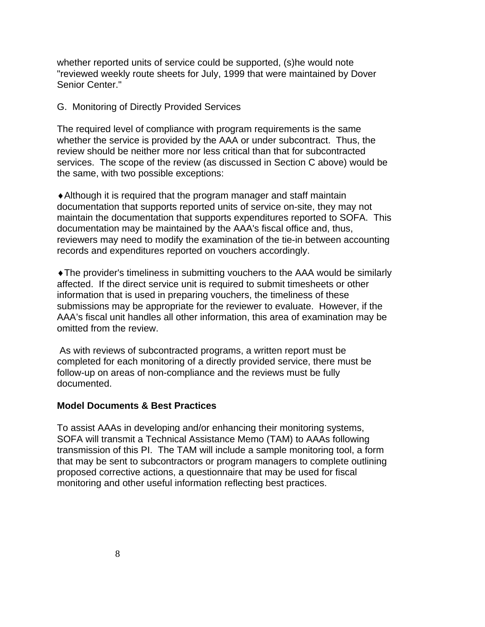whether reported units of service could be supported, (s)he would note "reviewed weekly route sheets for July, 1999 that were maintained by Dover Senior Center."

#### G. Monitoring of Directly Provided Services

The required level of compliance with program requirements is the same whether the service is provided by the AAA or under subcontract. Thus, the review should be neither more nor less critical than that for subcontracted services. The scope of the review (as discussed in Section C above) would be the same, with two possible exceptions:

♦Although it is required that the program manager and staff maintain documentation that supports reported units of service on-site, they may not maintain the documentation that supports expenditures reported to SOFA. This documentation may be maintained by the AAA's fiscal office and, thus, reviewers may need to modify the examination of the tie-in between accounting records and expenditures reported on vouchers accordingly.

♦The provider's timeliness in submitting vouchers to the AAA would be similarly affected. If the direct service unit is required to submit timesheets or other information that is used in preparing vouchers, the timeliness of these submissions may be appropriate for the reviewer to evaluate. However, if the AAA's fiscal unit handles all other information, this area of examination may be omitted from the review.

 As with reviews of subcontracted programs, a written report must be completed for each monitoring of a directly provided service, there must be follow-up on areas of non-compliance and the reviews must be fully documented.

#### **Model Documents & Best Practices**

To assist AAAs in developing and/or enhancing their monitoring systems, SOFA will transmit a Technical Assistance Memo (TAM) to AAAs following transmission of this PI. The TAM will include a sample monitoring tool, a form that may be sent to subcontractors or program managers to complete outlining proposed corrective actions, a questionnaire that may be used for fiscal monitoring and other useful information reflecting best practices.